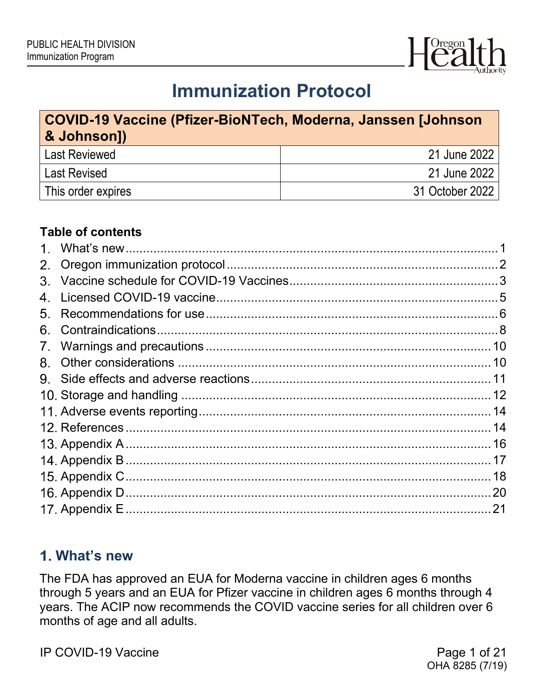

# **Immunization Protocol**

## **COVID-19 Vaccine (Pfizer-BioNTech, Moderna, Janssen [Johnson & Johnson])** Last Reviewed 21 June 2022 Last Revised 21 June 2022 This order expires 31 October 2022

#### **Table of contents**

| $1_{-}$     |  |
|-------------|--|
|             |  |
|             |  |
| 4.          |  |
| 5.          |  |
| 6.          |  |
| $7_{\cdot}$ |  |
| 8.          |  |
|             |  |
|             |  |
|             |  |
|             |  |
|             |  |
|             |  |
|             |  |
|             |  |
|             |  |

## <span id="page-0-0"></span>**What's new**

The FDA has approved an EUA for Moderna vaccine in children ages 6 months through 5 years and an EUA for Pfizer vaccine in children ages 6 months through 4 years. The ACIP now recommends the COVID vaccine series for all children over 6 months of age and all adults.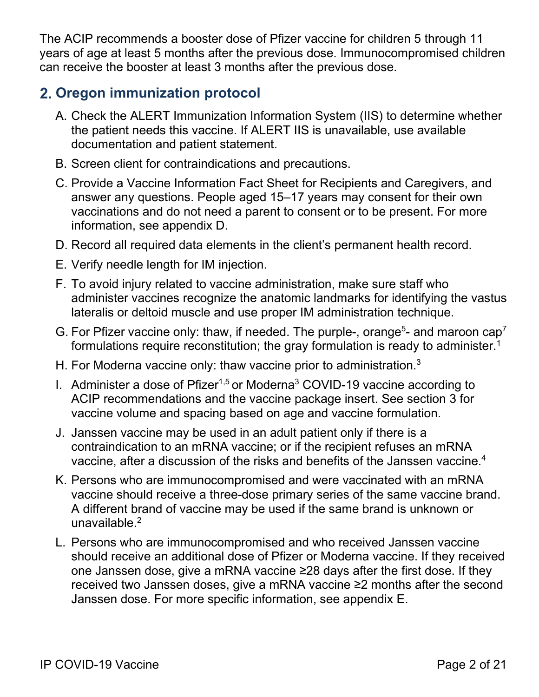The ACIP recommends a booster dose of Pfizer vaccine for children 5 through 11 years of age at least 5 months after the previous dose. Immunocompromised children can receive the booster at least 3 months after the previous dose.

## <span id="page-1-0"></span>**Oregon immunization protocol**

- A. Check the ALERT Immunization Information System (IIS) to determine whether the patient needs this vaccine. If ALERT IIS is unavailable, use available documentation and patient statement.
- B. Screen client for contraindications and precautions.
- C. Provide a Vaccine Information [Fact Sheet for Recipients and Caregivers,](https://www.fda.gov/media/144414/download) and answer any questions. People aged 15–17 years may consent for their own vaccinations and do not need a parent to consent or to be present. For more information, see appendix D.
- D. Record all required data elements in the client's permanent health record.
- E. Verify needle length for IM injection.
- F. To avoid injury related to vaccine administration, make sure staff who administer vaccines recognize the anatomic landmarks for identifying the vastus lateralis or deltoid muscle and use proper IM administration technique.
- G. For Pfizer vaccine only: thaw, if needed. The purple-, orange<sup>5</sup>- and maroon cap<sup>7</sup> formulations require reconstitution; the gray formulation is ready to administer.<sup>1</sup>
- H. For Moderna vaccine only: thaw vaccine prior to administration.<sup>3</sup>
- I. Administer a dose of Pfizer<sup>1,5</sup> or Moderna<sup>3</sup> COVID-19 vaccine according to ACIP recommendations and the vaccine package insert. See section 3 for vaccine volume and spacing based on age and vaccine formulation.
- J. Janssen vaccine may be used in an adult patient only if there is a contraindication to an mRNA vaccine; or if the recipient refuses an mRNA vaccine, after a discussion of the risks and benefits of the Janssen vaccine.<sup>4</sup>
- K. Persons who are immunocompromised and were vaccinated with an mRNA vaccine should receive a three-dose primary series of the same vaccine brand. A different brand of vaccine may be used if the same brand is unknown or unavailable.<sup>2</sup>
- L. Persons who are immunocompromised and who received Janssen vaccine should receive an additional dose of Pfizer or Moderna vaccine. If they received one Janssen dose, give a mRNA vaccine ≥28 days after the first dose. If they received two Janssen doses, give a mRNA vaccine ≥2 months after the second Janssen dose. For more specific information, see appendix E.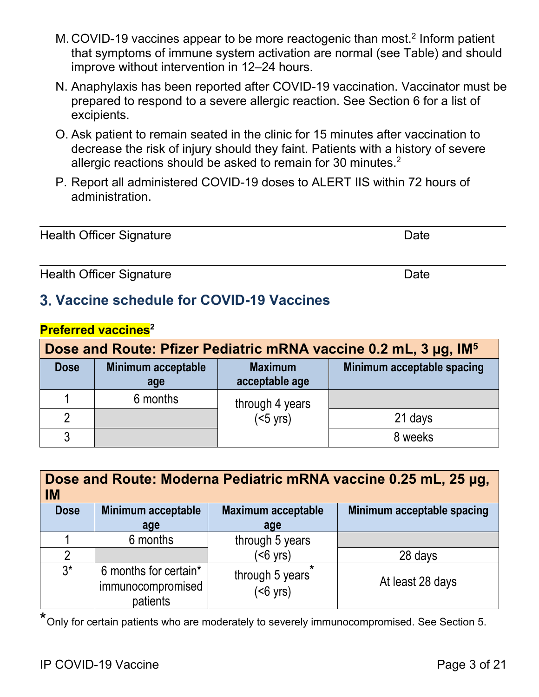- M. COVID-19 vaccines appear to be more reactogenic than most. <sup>2</sup> Inform patient that symptoms of immune system activation are normal (see Table) and should improve without intervention in 12–24 hours.
- N. Anaphylaxis has been reported after COVID-19 vaccination. Vaccinator must be prepared to respond to a severe allergic reaction. See Section 6 for a list of excipients.
- O. Ask patient to remain seated in the clinic for 15 minutes after vaccination to decrease the risk of injury should they faint. Patients with a history of severe allergic reactions should be asked to remain for 30 minutes. $^{\rm 2}$
- P. Report all administered COVID-19 doses to ALERT IIS within 72 hours of administration.

| <b>Health Officer Signature</b> |  |
|---------------------------------|--|

Health Officer Signature **Date** Date **Date** 

## <span id="page-2-0"></span>**Vaccine schedule for COVID-19 Vaccines**

| <b>Preferred vaccines</b> <sup>2</sup> |
|----------------------------------------|
|                                        |

|                                                                              | Dose and Route: Pfizer Pediatric mRNA vaccine 0.2 mL, 3 µg, IM <sup>5</sup> |                   |                            |  |  |  |
|------------------------------------------------------------------------------|-----------------------------------------------------------------------------|-------------------|----------------------------|--|--|--|
| Minimum acceptable<br><b>Maximum</b><br><b>Dose</b><br>acceptable age<br>age |                                                                             |                   | Minimum acceptable spacing |  |  |  |
|                                                                              | 6 months                                                                    | through 4 years   |                            |  |  |  |
| ი                                                                            |                                                                             | $(5 \text{ yrs})$ | 21 days                    |  |  |  |
| 3                                                                            |                                                                             |                   | 8 weeks                    |  |  |  |

| Dose and Route: Moderna Pediatric mRNA vaccine 0.25 mL, 25 µg,<br><b>IM</b>                         |                                                        |                                       |                  |  |  |
|-----------------------------------------------------------------------------------------------------|--------------------------------------------------------|---------------------------------------|------------------|--|--|
| Minimum acceptable spacing<br><b>Minimum acceptable</b><br><b>Maximum acceptable</b><br><b>Dose</b> |                                                        |                                       |                  |  |  |
|                                                                                                     | age                                                    | age                                   |                  |  |  |
|                                                                                                     | 6 months                                               | through 5 years                       |                  |  |  |
| $\mathfrak{p}$                                                                                      |                                                        | $(56 \text{ yrs})$                    | 28 days          |  |  |
| $3^*$                                                                                               | 6 months for certain*<br>immunocompromised<br>patients | through 5 years<br>$(56 \text{ yrs})$ | At least 28 days |  |  |

\*Only for certain patients who are moderately to severely immunocompromised. See Section 5.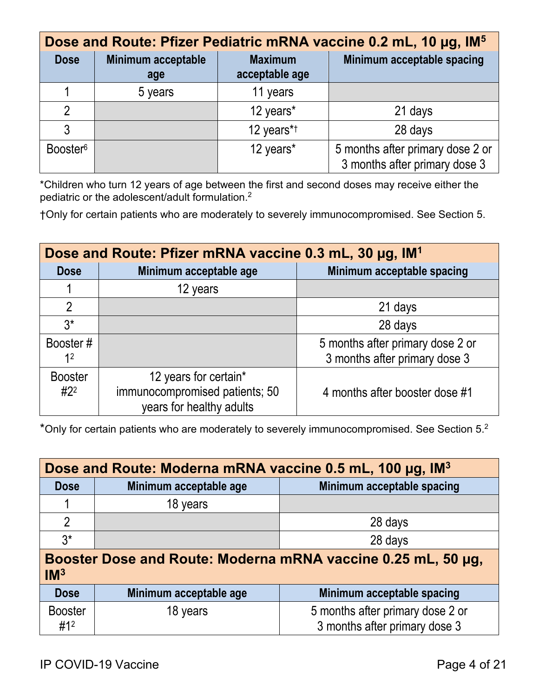| Dose and Route: Pfizer Pediatric mRNA vaccine 0.2 mL, 10 µg, IM <sup>5</sup> |         |            |                                                                   |                                  |                            |  |
|------------------------------------------------------------------------------|---------|------------|-------------------------------------------------------------------|----------------------------------|----------------------------|--|
| <b>Minimum acceptable</b><br><b>Dose</b><br>age                              |         |            |                                                                   | <b>Maximum</b><br>acceptable age | Minimum acceptable spacing |  |
|                                                                              | 5 years | 11 years   |                                                                   |                                  |                            |  |
| $\mathfrak{D}$                                                               |         | 12 years*  | 21 days                                                           |                                  |                            |  |
| 3                                                                            |         | 12 years*1 | 28 days                                                           |                                  |                            |  |
| Booster <sup>6</sup>                                                         |         | 12 years*  | 5 months after primary dose 2 or<br>3 months after primary dose 3 |                                  |                            |  |

\*Children who turn 12 years of age between the first and second doses may receive either the pediatric or the adolescent/adult formulation.<sup>2</sup>

†Only for certain patients who are moderately to severely immunocompromised. See Section 5.

| Dose and Route: Pfizer mRNA vaccine 0.3 mL, 30 µg, IM <sup>1</sup> |                                                                                     |                                                                   |  |  |  |
|--------------------------------------------------------------------|-------------------------------------------------------------------------------------|-------------------------------------------------------------------|--|--|--|
| <b>Dose</b>                                                        | Minimum acceptable age                                                              | Minimum acceptable spacing                                        |  |  |  |
|                                                                    | 12 years                                                                            |                                                                   |  |  |  |
| $\overline{2}$                                                     |                                                                                     | 21 days                                                           |  |  |  |
| $3^*$                                                              |                                                                                     | 28 days                                                           |  |  |  |
| Booster#<br>1 <sup>2</sup>                                         |                                                                                     | 5 months after primary dose 2 or<br>3 months after primary dose 3 |  |  |  |
| <b>Booster</b><br>$#2^2$                                           | 12 years for certain*<br>immunocompromised patients; 50<br>years for healthy adults | 4 months after booster dose #1                                    |  |  |  |

\*Only for certain patients who are moderately to severely immunocompromised. See Section 5.2

| Dose and Route: Moderna mRNA vaccine 0.5 mL, 100 µg, IM <sup>3</sup>            |          |  |  |  |  |
|---------------------------------------------------------------------------------|----------|--|--|--|--|
| Minimum acceptable spacing<br>Minimum acceptable age<br><b>Dose</b>             |          |  |  |  |  |
| 1                                                                               | 18 years |  |  |  |  |
| $\overline{2}$<br>28 days                                                       |          |  |  |  |  |
| $3^*$<br>28 days                                                                |          |  |  |  |  |
| Booster Dose and Route: Moderna mRNA vaccine 0.25 mL, 50 µg,<br>IM <sup>3</sup> |          |  |  |  |  |

| Dose                  | Minimum acceptable age | Minimum acceptable spacing                                        |
|-----------------------|------------------------|-------------------------------------------------------------------|
| <b>Booster</b><br>#12 | 18 years               | 5 months after primary dose 2 or<br>3 months after primary dose 3 |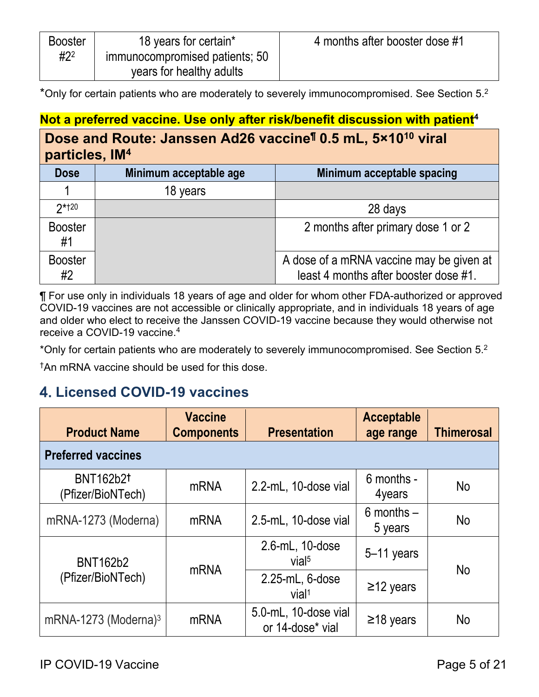| <b>Booster</b> | 18 years for certain*          | 4 months after booster dose #1 |
|----------------|--------------------------------|--------------------------------|
| $#2^2$         | immunocompromised patients; 50 |                                |
|                | years for healthy adults       |                                |

\*Only for certain patients who are moderately to severely immunocompromised. See Section 5.<sup>2</sup>

## Not a preferred vaccine. Use only after risk/benefit discussion with patient<sup>4</sup>

#### **Dose and Route: Janssen Ad26 vaccine¶ 0.5 mL, 5×1010 viral**   $n$ articles, IM<sup>4</sup>

| <u>Martialach III</u> |                        |                                                                                   |  |  |
|-----------------------|------------------------|-----------------------------------------------------------------------------------|--|--|
| <b>Dose</b>           | Minimum acceptable age | Minimum acceptable spacing                                                        |  |  |
|                       | 18 years               |                                                                                   |  |  |
| $2*120$               |                        | 28 days                                                                           |  |  |
| <b>Booster</b><br>#1  |                        | 2 months after primary dose 1 or 2                                                |  |  |
| <b>Booster</b><br>#2  |                        | A dose of a mRNA vaccine may be given at<br>least 4 months after booster dose #1. |  |  |

¶ For use only in individuals 18 years of age and older for whom other FDA-authorized or approved COVID-19 vaccines are not accessible or clinically appropriate, and in individuals 18 years of age and older who elect to receive the Janssen COVID-19 vaccine because they would otherwise not receive a COVID-19 vaccine. 4

\*Only for certain patients who are moderately to severely immunocompromised. See Section 5.<sup>2</sup>

†An mRNA vaccine should be used for this dose.

## <span id="page-4-0"></span>**Licensed COVID-19 vaccines**

| <b>Product Name</b>                   | <b>Vaccine</b><br><b>Components</b> | <b>Presentation</b>                      | <b>Acceptable</b><br>age range | <b>Thimerosal</b> |
|---------------------------------------|-------------------------------------|------------------------------------------|--------------------------------|-------------------|
| <b>Preferred vaccines</b>             |                                     |                                          |                                |                   |
| <b>BNT162b2t</b><br>(Pfizer/BioNTech) | <b>mRNA</b>                         | 2.2-mL, 10-dose vial                     | 6 months -<br>4years           | <b>No</b>         |
| mRNA-1273 (Moderna)                   | <b>mRNA</b>                         | 2.5-mL, 10-dose vial                     | $6$ months $-$<br>5 years      | <b>No</b>         |
| <b>BNT162b2</b>                       | <b>mRNA</b>                         | 2.6-mL, 10-dose<br>vial <sup>5</sup>     | $5-11$ years                   |                   |
| (Pfizer/BioNTech)                     |                                     | 2.25-mL, 6-dose<br>vial <sup>1</sup>     | $\geq$ 12 years                | <b>No</b>         |
| mRNA-1273 (Moderna) $3$               | mRNA                                | 5.0-mL, 10-dose vial<br>or 14-dose* vial | $\geq$ 18 years                | <b>No</b>         |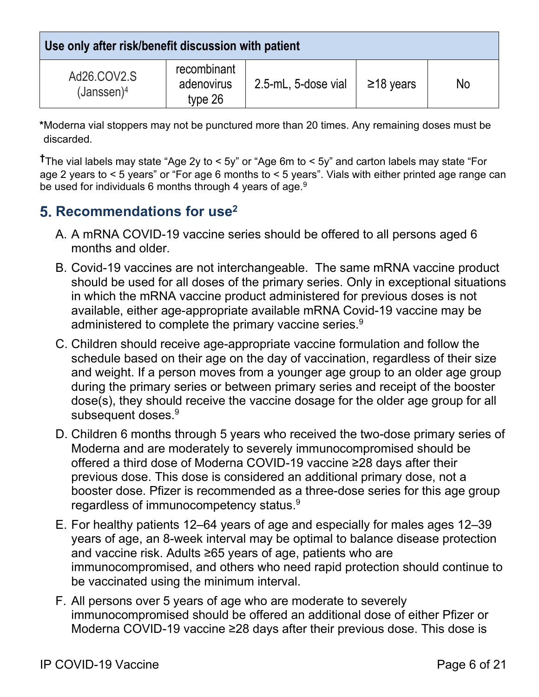**Use only after risk/benefit discussion with patient**

| Ad26.COV2.S<br>$(Janssen)^4$ | recombinant<br>adenovirus<br>type 26 | 2.5-mL, 5-dose vial | $\geq$ 18 years | No |
|------------------------------|--------------------------------------|---------------------|-----------------|----|

**\***Moderna vial stoppers may not be punctured more than 20 times. Any remaining doses must be discarded.

**†**The vial labels may state "Age 2y to < 5y" or "Age 6m to < 5y" and carton labels may state "For age 2 years to < 5 years" or "For age 6 months to < 5 years". Vials with either printed age range can be used for individuals 6 months through 4 years of age.<sup>9</sup>

## <span id="page-5-0"></span>**5. Recommendations for use<sup>2</sup>**

- A. A mRNA COVID-19 vaccine series should be offered to all persons aged 6 months and older.
- B. Covid-19 vaccines are not interchangeable. The same mRNA vaccine product should be used for all doses of the primary series. Only in exceptional situations in which the mRNA vaccine product administered for previous doses is not available, either age-appropriate available mRNA Covid-19 vaccine may be administered to complete the primary vaccine series.<sup>9</sup>
- C. Children should receive age-appropriate vaccine formulation and follow the schedule based on their age on the day of vaccination, regardless of their size and weight. If a person moves from a younger age group to an older age group during the primary series or between primary series and receipt of the booster dose(s), they should receive the vaccine dosage for the older age group for all subsequent doses.<sup>9</sup>
- D. Children 6 months through 5 years who received the two-dose primary series of Moderna and are moderately to severely immunocompromised should be offered a third dose of Moderna COVID-19 vaccine ≥28 days after their previous dose. This dose is considered an additional primary dose, not a booster dose. Pfizer is recommended as a three-dose series for this age group regardless of immunocompetency status. $^9$
- E. For healthy patients 12–64 years of age and especially for males ages 12–39 years of age, an 8-week interval may be optimal to balance disease protection and vaccine risk. Adults ≥65 years of age, patients who are immunocompromised, and others who need rapid protection should continue to be vaccinated using the minimum interval.
- F. All persons over 5 years of age who are moderate to severely immunocompromised should be offered an additional dose of either Pfizer or Moderna COVID-19 vaccine ≥28 days after their previous dose. This dose is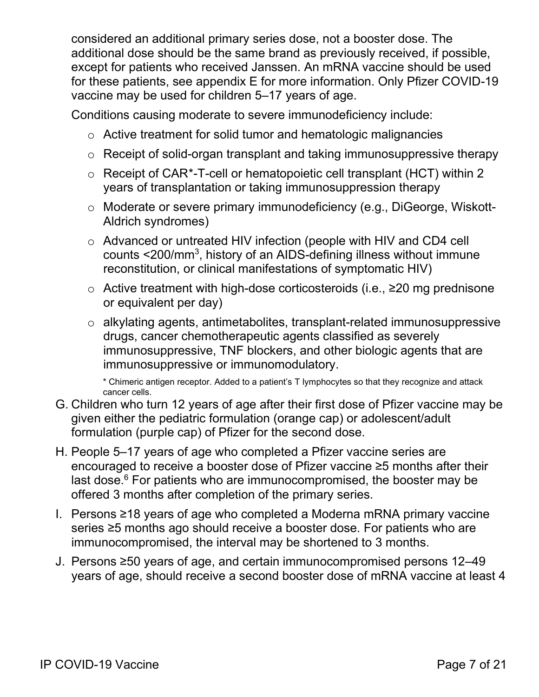considered an additional primary series dose, not a booster dose. The additional dose should be the same brand as previously received, if possible, except for patients who received Janssen. An mRNA vaccine should be used for these patients, see appendix E for more information. Only Pfizer COVID-19 vaccine may be used for children 5–17 years of age.

Conditions causing moderate to severe immunodeficiency include:

- o Active treatment for solid tumor and hematologic malignancies
- o Receipt of solid-organ transplant and taking immunosuppressive therapy
- o Receipt of CAR[\\*-](#page-6-0)T-cell or hematopoietic cell transplant (HCT) within 2 years of transplantation or taking immunosuppression therapy
- o Moderate or severe primary immunodeficiency (e.g., DiGeorge, Wiskott-Aldrich syndromes)
- o Advanced or untreated HIV infection (people with HIV and CD4 cell counts <200/mm3, history of an AIDS-defining illness without immune reconstitution, or clinical manifestations of symptomatic HIV)
- o Active treatment with high-dose corticosteroids (i.e., ≥20 mg prednisone or equivalent per day)
- o alkylating agents, antimetabolites, transplant-related immunosuppressive drugs, cancer chemotherapeutic agents classified as severely immunosuppressive, TNF blockers, and other biologic agents that are immunosuppressive or immunomodulatory.

\* Chimeric antigen receptor. Added to a patient's T lymphocytes so that they recognize and attack cancer cells.

- G. Children who turn 12 years of age after their first dose of Pfizer vaccine may be given either the pediatric formulation (orange cap) or adolescent/adult formulation (purple cap) of Pfizer for the second dose.
- H. People 5–17 years of age who completed a Pfizer vaccine series are encouraged to receive a booster dose of Pfizer vaccine ≥5 months after their last dose. $6$  For patients who are immunocompromised, the booster may be offered 3 months after completion of the primary series.
- I. Persons ≥18 years of age who completed a Moderna mRNA primary vaccine series ≥5 months ago should receive a booster dose. For patients who are immunocompromised, the interval may be shortened to 3 months.
- <span id="page-6-0"></span>J. Persons ≥50 years of age, and certain immunocompromised persons 12–49 years of age, should receive a second booster dose of mRNA vaccine at least 4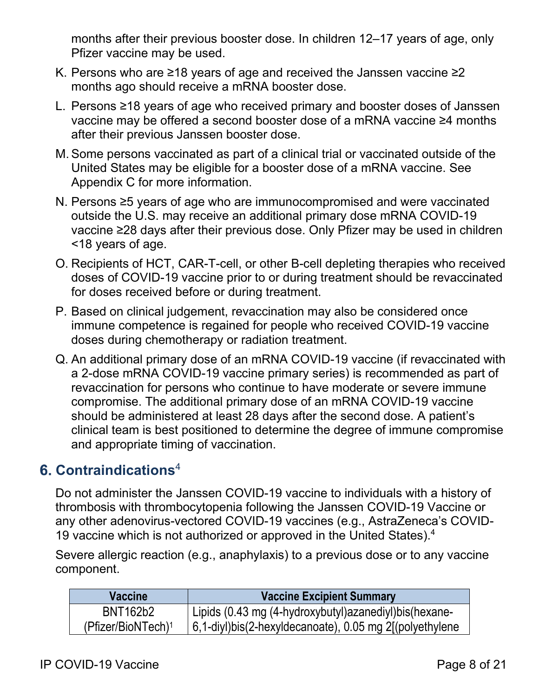months after their previous booster dose. In children 12–17 years of age, only Pfizer vaccine may be used.

- K. Persons who are ≥18 years of age and received the Janssen vaccine ≥2 months ago should receive a mRNA booster dose.
- L. Persons ≥18 years of age who received primary and booster doses of Janssen vaccine may be offered a second booster dose of a mRNA vaccine ≥4 months after their previous Janssen booster dose.
- M.Some persons vaccinated as part of a clinical trial or vaccinated outside of the United States may be eligible for a booster dose of a mRNA vaccine. See Appendix C for more information.
- N. Persons ≥5 years of age who are immunocompromised and were vaccinated outside the U.S. may receive an additional primary dose mRNA COVID-19 vaccine ≥28 days after their previous dose. Only Pfizer may be used in children <18 years of age.
- O. Recipients of HCT, CAR-T-cell, or other B-cell depleting therapies who received doses of COVID-19 vaccine prior to or during treatment should be revaccinated for doses received before or during treatment.
- P. Based on clinical judgement, revaccination may also be considered once immune competence is regained for people who received COVID-19 vaccine doses during chemotherapy or radiation treatment.
- Q. An additional primary dose of an mRNA COVID-19 vaccine (if revaccinated with a 2-dose mRNA COVID-19 vaccine primary series) is recommended as part of revaccination for persons who continue to have moderate or severe immune compromise. The additional primary dose of an mRNA COVID-19 vaccine should be administered at least 28 days after the second dose. A patient's clinical team is best positioned to determine the degree of immune compromise and appropriate timing of vaccination.

## <span id="page-7-0"></span>**Contraindications**<sup>4</sup>

Do not administer the Janssen COVID-19 vaccine to individuals with a history of thrombosis with thrombocytopenia following the Janssen COVID-19 Vaccine or any other adenovirus-vectored COVID-19 vaccines (e.g., AstraZeneca's COVID-19 vaccine which is not authorized or approved in the United States).<sup>4</sup>

Severe allergic reaction (e.g., anaphylaxis) to a previous dose or to any vaccine component.

| <b>Vaccine</b>                 | <b>Vaccine Excipient Summary</b>                                       |
|--------------------------------|------------------------------------------------------------------------|
| BNT162b2                       | Lipids (0.43 mg (4-hydroxybutyl) azanediyl) bis (hexane-               |
| (Pfizer/BioNTech) <sup>1</sup> | $\mid 6,1$ -diyl)bis(2-hexyldecanoate), 0.05 mg 2 $\mid$ (polyethylene |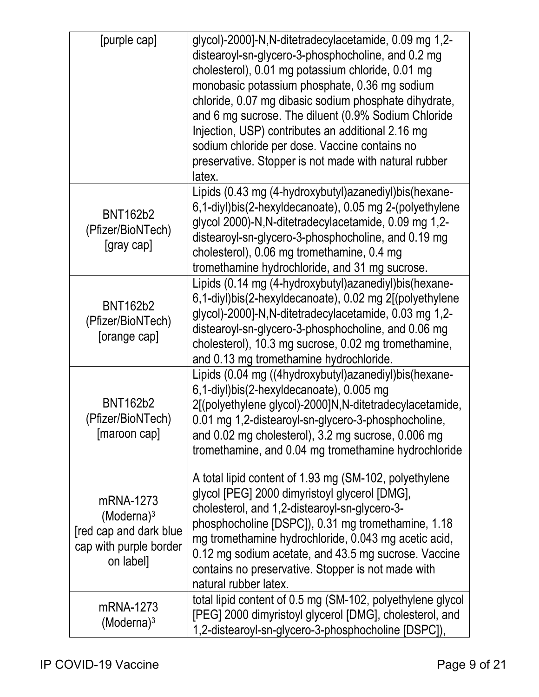| [purple cap]                                                                                | glycol)-2000]-N,N-ditetradecylacetamide, 0.09 mg 1,2-<br>distearoyl-sn-glycero-3-phosphocholine, and 0.2 mg<br>cholesterol), 0.01 mg potassium chloride, 0.01 mg<br>monobasic potassium phosphate, 0.36 mg sodium<br>chloride, 0.07 mg dibasic sodium phosphate dihydrate,<br>and 6 mg sucrose. The diluent (0.9% Sodium Chloride<br>Injection, USP) contributes an additional 2.16 mg<br>sodium chloride per dose. Vaccine contains no<br>preservative. Stopper is not made with natural rubber<br>latex. |
|---------------------------------------------------------------------------------------------|------------------------------------------------------------------------------------------------------------------------------------------------------------------------------------------------------------------------------------------------------------------------------------------------------------------------------------------------------------------------------------------------------------------------------------------------------------------------------------------------------------|
| <b>BNT162b2</b><br>(Pfizer/BioNTech)<br>[gray cap]                                          | Lipids (0.43 mg (4-hydroxybutyl) azanediyl) bis (hexane-<br>6,1-diyl)bis(2-hexyldecanoate), 0.05 mg 2-(polyethylene<br>glycol 2000)-N, N-ditetradecylacetamide, 0.09 mg 1,2-<br>distearoyl-sn-glycero-3-phosphocholine, and 0.19 mg<br>cholesterol), 0.06 mg tromethamine, 0.4 mg<br>tromethamine hydrochloride, and 31 mg sucrose.                                                                                                                                                                        |
| <b>BNT162b2</b><br>(Pfizer/BioNTech)<br>[orange cap]                                        | Lipids (0.14 mg (4-hydroxybutyl) azanediyl) bis (hexane-<br>6,1-diyl)bis(2-hexyldecanoate), 0.02 mg 2[(polyethylene<br>glycol)-2000]-N,N-ditetradecylacetamide, 0.03 mg 1,2-<br>distearoyl-sn-glycero-3-phosphocholine, and 0.06 mg<br>cholesterol), 10.3 mg sucrose, 0.02 mg tromethamine,<br>and 0.13 mg tromethamine hydrochloride.                                                                                                                                                                     |
| <b>BNT162b2</b><br>(Pfizer/BioNTech)<br>[maroon cap]                                        | Lipids (0.04 mg ((4hydroxybutyl) azanediyl) bis (hexane-<br>6,1-diyl)bis(2-hexyldecanoate), 0.005 mg<br>2[(polyethylene glycol)-2000]N,N-ditetradecylacetamide,<br>0.01 mg 1,2-distearoyl-sn-glycero-3-phosphocholine,<br>and 0.02 mg cholesterol), 3.2 mg sucrose, 0.006 mg<br>tromethamine, and 0.04 mg tromethamine hydrochloride                                                                                                                                                                       |
| mRNA-1273<br>$(Moderna)^3$<br>[red cap and dark blue<br>cap with purple border<br>on label] | A total lipid content of 1.93 mg (SM-102, polyethylene<br>glycol [PEG] 2000 dimyristoyl glycerol [DMG],<br>cholesterol, and 1,2-distearoyl-sn-glycero-3-<br>phosphocholine [DSPC]), 0.31 mg tromethamine, 1.18<br>mg tromethamine hydrochloride, 0.043 mg acetic acid,<br>0.12 mg sodium acetate, and 43.5 mg sucrose. Vaccine<br>contains no preservative. Stopper is not made with<br>natural rubber latex.                                                                                              |
| mRNA-1273<br>$(Moderna)^3$                                                                  | total lipid content of 0.5 mg (SM-102, polyethylene glycol<br>[PEG] 2000 dimyristoyl glycerol [DMG], cholesterol, and<br>1,2-distearoyl-sn-glycero-3-phosphocholine [DSPC]),                                                                                                                                                                                                                                                                                                                               |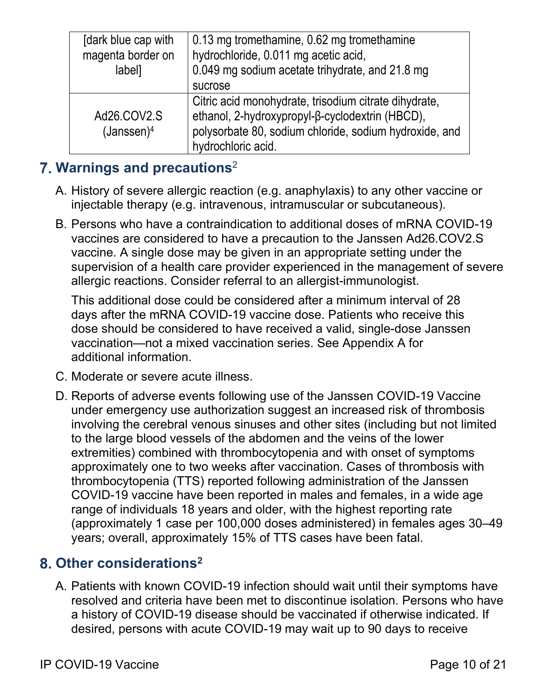| [dark blue cap with<br>magenta border on<br>label] | 0.13 mg tromethamine, 0.62 mg tromethamine<br>hydrochloride, 0.011 mg acetic acid,<br>0.049 mg sodium acetate trihydrate, and 21.8 mg<br>sucrose                                         |
|----------------------------------------------------|------------------------------------------------------------------------------------------------------------------------------------------------------------------------------------------|
| Ad26.COV2.S<br>(Janssen) <sup>4</sup>              | Citric acid monohydrate, trisodium citrate dihydrate,<br>ethanol, 2-hydroxypropyl-β-cyclodextrin (HBCD),<br>polysorbate 80, sodium chloride, sodium hydroxide, and<br>hydrochloric acid. |

## <span id="page-9-0"></span>**Warnings and precautions**<sup>2</sup>

- A. History of severe allergic reaction (e.g. anaphylaxis) to any other vaccine or injectable therapy (e.g. intravenous, intramuscular or subcutaneous).
- B. Persons who have a contraindication to additional doses of mRNA COVID-19 vaccines are considered to have a precaution to the Janssen Ad26.COV2.S vaccine. A single dose may be given in an appropriate setting under the supervision of a health care provider experienced in the management of severe allergic reactions. Consider referral to an allergist-immunologist.

This additional dose could be considered after a minimum interval of 28 days after the mRNA COVID-19 vaccine dose. Patients who receive this dose should be considered to have received a valid, single-dose Janssen vaccination—not a mixed vaccination series. See Appendix A for additional information.

- C. Moderate or severe acute illness.
- D. Reports of adverse events following use of the Janssen COVID-19 Vaccine under emergency use authorization suggest an increased risk of thrombosis involving the cerebral venous sinuses and other sites (including but not limited to the large blood vessels of the abdomen and the veins of the lower extremities) combined with thrombocytopenia and with onset of symptoms approximately one to two weeks after vaccination. Cases of thrombosis with thrombocytopenia (TTS) reported following administration of the Janssen COVID-19 vaccine have been reported in males and females, in a wide age range of individuals 18 years and older, with the highest reporting rate (approximately 1 case per 100,000 doses administered) in females ages 30–49 years; overall, approximately 15% of TTS cases have been fatal.

## <span id="page-9-1"></span>**Other considerations2**

A. Patients with known COVID-19 infection should wait until their symptoms have resolved and criteria have been met to discontinue isolation. Persons who have a history of COVID-19 disease should be vaccinated if otherwise indicated. If desired, persons with acute COVID-19 may wait up to 90 days to receive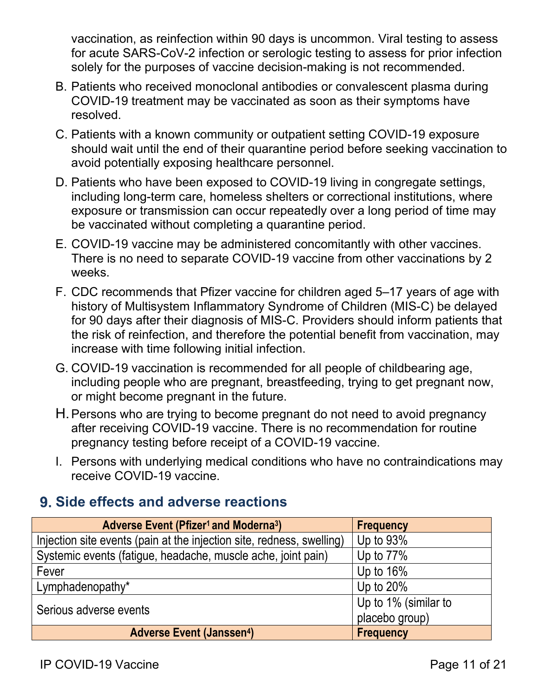vaccination, as reinfection within 90 days is uncommon. Viral testing to assess for acute SARS-CoV-2 infection or serologic testing to assess for prior infection solely for the purposes of vaccine decision-making is not recommended.

- B. Patients who received monoclonal antibodies or convalescent plasma during COVID-19 treatment may be vaccinated as soon as their symptoms have resolved.
- C. Patients with a known community or outpatient setting COVID-19 exposure should wait until the end of their quarantine period before seeking vaccination to avoid potentially exposing healthcare personnel.
- D. Patients who have been exposed to COVID-19 living in congregate settings, including long-term care, homeless shelters or correctional institutions, where exposure or transmission can occur repeatedly over a long period of time may be vaccinated without completing a quarantine period.
- E. COVID-19 vaccine may be administered concomitantly with other vaccines. There is no need to separate COVID-19 vaccine from other vaccinations by 2 weeks.
- F. CDC recommends that Pfizer vaccine for children aged 5–17 years of age with history of Multisystem Inflammatory Syndrome of Children (MIS-C) be delayed for 90 days after their diagnosis of MIS-C. Providers should inform patients that the risk of reinfection, and therefore the potential benefit from vaccination, may increase with time following initial infection.
- G. COVID-19 vaccination is recommended for all people of childbearing age, including people who are pregnant, breastfeeding, trying to get pregnant now, or might become pregnant in the future.
- H.Persons who are trying to become pregnant do not need to avoid pregnancy after receiving COVID-19 vaccine. There is no recommendation for routine pregnancy testing before receipt of a COVID-19 vaccine.
- I. Persons with underlying medical conditions who have no contraindications may receive COVID-19 vaccine.

## <span id="page-10-0"></span>**Side effects and adverse reactions**

| <b>Adverse Event (Pfizer<sup>1</sup> and Moderna<sup>3</sup>)</b>     | <b>Frequency</b>     |
|-----------------------------------------------------------------------|----------------------|
| Injection site events (pain at the injection site, redness, swelling) | Up to $93\%$         |
| Systemic events (fatigue, headache, muscle ache, joint pain)          | Up to $77\%$         |
| Fever                                                                 | Up to $16\%$         |
| Lymphadenopathy*                                                      | Up to $20\%$         |
| Serious adverse events                                                | Up to 1% (similar to |
|                                                                       | placebo group)       |
| <b>Adverse Event (Janssen4)</b>                                       | Frequency            |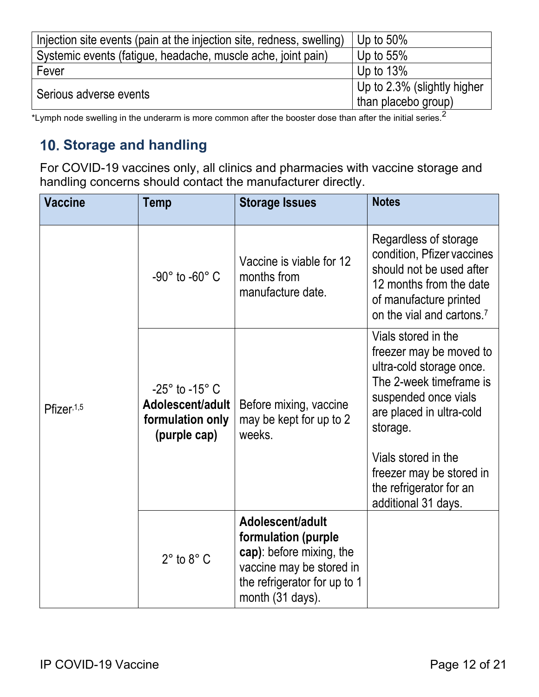| Injection site events (pain at the injection site, redness, swelling) | Up to $50\%$                                       |
|-----------------------------------------------------------------------|----------------------------------------------------|
| Systemic events (fatigue, headache, muscle ache, joint pain)          | Up to $55\%$                                       |
| Fever                                                                 | Up to $13\%$                                       |
| Serious adverse events                                                | Up to 2.3% (slightly higher<br>than placebo group) |

\*Lymph node swelling in the underarm is more common after the booster dose than after the initial series.<sup>2</sup>

## <span id="page-11-0"></span>**Storage and handling**

For COVID-19 vaccines only, all clinics and pharmacies with vaccine storage and handling concerns should contact the manufacturer directly.

| <b>Vaccine</b> | <b>Temp</b>                                                                          | <b>Storage Issues</b>                                                                                                                               | <b>Notes</b>                                                                                                                                                                                                                                                               |
|----------------|--------------------------------------------------------------------------------------|-----------------------------------------------------------------------------------------------------------------------------------------------------|----------------------------------------------------------------------------------------------------------------------------------------------------------------------------------------------------------------------------------------------------------------------------|
|                | -90 $^{\circ}$ to -60 $^{\circ}$ C                                                   | Vaccine is viable for 12<br>months from<br>manufacture date.                                                                                        | Regardless of storage<br>condition, Pfizer vaccines<br>should not be used after<br>12 months from the date<br>of manufacture printed<br>on the vial and cartons. <sup>7</sup>                                                                                              |
| Pfizer, 1,5    | $-25^\circ$ to $-15^\circ$ C<br>Adolescent/adult<br>formulation only<br>(purple cap) | Before mixing, vaccine<br>may be kept for up to 2<br>weeks.                                                                                         | Vials stored in the<br>freezer may be moved to<br>ultra-cold storage once.<br>The 2-week timeframe is<br>suspended once vials<br>are placed in ultra-cold<br>storage.<br>Vials stored in the<br>freezer may be stored in<br>the refrigerator for an<br>additional 31 days. |
|                | $2^\circ$ to $8^\circ$ C                                                             | Adolescent/adult<br>formulation (purple<br>cap): before mixing, the<br>vaccine may be stored in<br>the refrigerator for up to 1<br>month (31 days). |                                                                                                                                                                                                                                                                            |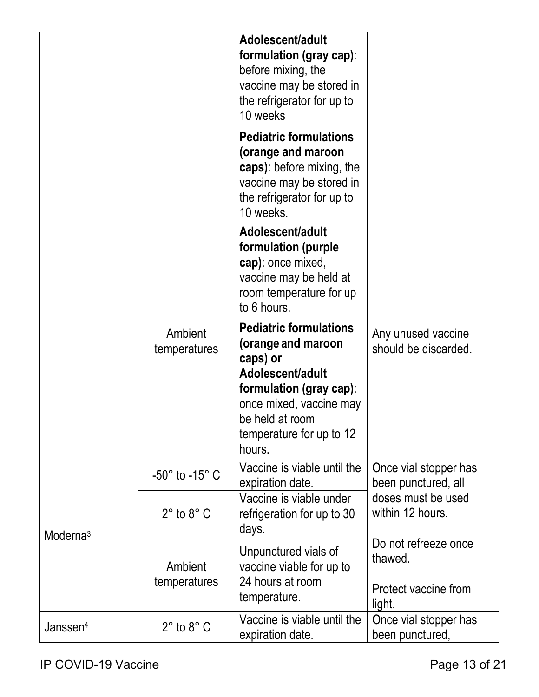|                      |                              | Adolescent/adult<br>formulation (gray cap):<br>before mixing, the<br>vaccine may be stored in<br>the refrigerator for up to<br>10 weeks                                                            |                                                                   |
|----------------------|------------------------------|----------------------------------------------------------------------------------------------------------------------------------------------------------------------------------------------------|-------------------------------------------------------------------|
|                      |                              | <b>Pediatric formulations</b><br>(orange and maroon<br>caps): before mixing, the<br>vaccine may be stored in<br>the refrigerator for up to<br>10 weeks.                                            |                                                                   |
|                      |                              | Adolescent/adult<br>formulation (purple<br>cap): once mixed,<br>vaccine may be held at<br>room temperature for up<br>to 6 hours.                                                                   |                                                                   |
|                      | Ambient<br>temperatures      | <b>Pediatric formulations</b><br>(orange and maroon<br>caps) or<br>Adolescent/adult<br>formulation (gray cap):<br>once mixed, vaccine may<br>be held at room<br>temperature for up to 12<br>hours. | Any unused vaccine<br>should be discarded.                        |
|                      | $-50^\circ$ to $-15^\circ$ C | Vaccine is viable until the<br>expiration date.                                                                                                                                                    | Once vial stopper has<br>been punctured, all                      |
| Moderna <sup>3</sup> | $2^\circ$ to $8^\circ$ C     | Vaccine is viable under<br>refrigeration for up to 30<br>days.                                                                                                                                     | doses must be used<br>within 12 hours.                            |
|                      | Ambient<br>temperatures      | Unpunctured vials of<br>vaccine viable for up to<br>24 hours at room<br>temperature.                                                                                                               | Do not refreeze once<br>thawed.<br>Protect vaccine from<br>light. |
| Janssen <sup>4</sup> | $2^\circ$ to $8^\circ$ C     | Vaccine is viable until the<br>expiration date.                                                                                                                                                    | Once vial stopper has<br>been punctured,                          |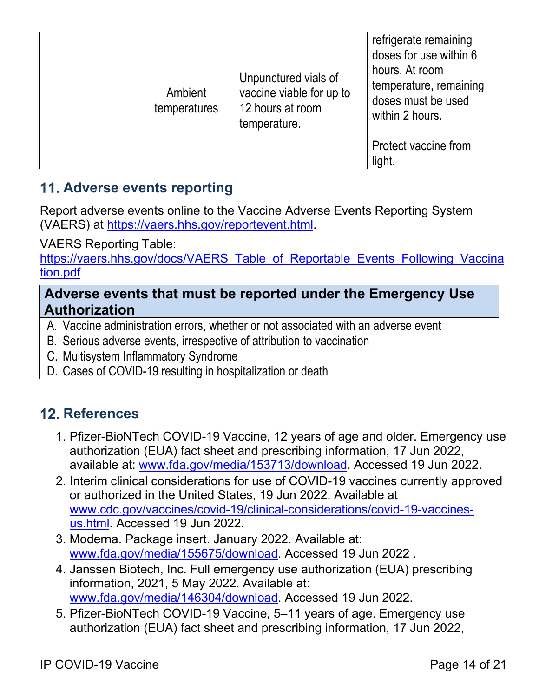| Ambient<br>temperatures | Unpunctured vials of<br>vaccine viable for up to<br>12 hours at room<br>temperature. | refrigerate remaining<br>doses for use within 6<br>hours. At room<br>temperature, remaining<br>doses must be used<br>within 2 hours. |
|-------------------------|--------------------------------------------------------------------------------------|--------------------------------------------------------------------------------------------------------------------------------------|
|                         |                                                                                      | Protect vaccine from<br>light.                                                                                                       |

## <span id="page-13-0"></span>**Adverse events reporting**

Report adverse events online to the Vaccine Adverse Events Reporting System (VAERS) at [https://vaers.hhs.gov/reportevent.html.](https://vaers.hhs.gov/reportevent.html)

VAERS Reporting Table:

[https://vaers.hhs.gov/docs/VAERS\\_Table\\_of\\_Reportable\\_Events\\_Following\\_Vaccina](https://vaers.hhs.gov/docs/VAERS_Table_of_Reportable_Events_Following_Vaccination.pdf) [tion.pdf](https://vaers.hhs.gov/docs/VAERS_Table_of_Reportable_Events_Following_Vaccination.pdf)

#### **Adverse events that must be reported under the Emergency Use Authorization**

- A. Vaccine administration errors, whether or not associated with an adverse event
- B. Serious adverse events, irrespective of attribution to vaccination
- C. Multisystem Inflammatory Syndrome
- <span id="page-13-1"></span>D. Cases of COVID-19 resulting in hospitalization or death

## **12. References**

- 1. Pfizer-BioNTech COVID-19 Vaccine, 12 years of age and older. Emergency use authorization (EUA) fact sheet and prescribing information, 17 Jun 2022, available at: [www.fda.gov/media/153713/download.](http://www.fda.gov/media/153713/download) Accessed 19 Jun 2022.
- 2. Interim clinical considerations for use of COVID-19 vaccines currently approved or authorized in the United States, 19 Jun 2022. Available at [www.cdc.gov/vaccines/covid-19/clinical-considerations/covid-19-vaccines](http://www.cdc.gov/vaccines/covid-19/clinical-considerations/covid-19-vaccines-us.html)[us.html.](http://www.cdc.gov/vaccines/covid-19/clinical-considerations/covid-19-vaccines-us.html) Accessed 19 Jun 2022.
- 3. Moderna. Package insert. January 2022. Available at: [www.fda.gov/media/155675/download.](http://www.fda.gov/media/155675/download) Accessed 19 Jun 2022 .
- 4. Janssen Biotech, Inc. Full emergency use authorization (EUA) prescribing information, 2021, 5 May 2022. Available at: [www.fda.gov/media/146304/download.](http://www.fda.gov/media/146304/download) Accessed 19 Jun 2022.
- 5. Pfizer-BioNTech COVID-19 Vaccine, 5–11 years of age. Emergency use authorization (EUA) fact sheet and prescribing information, 17 Jun 2022,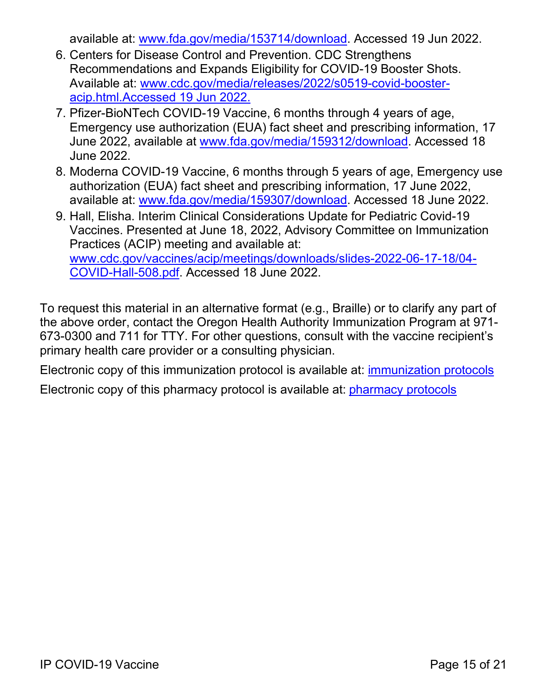available at: [www.fda.gov/media/153714/download.](https://www.fda.gov/media/153714/download) Accessed 19 Jun 2022.

- 6. Centers for Disease Control and Prevention. CDC Strengthens Recommendations and Expands Eligibility for COVID-19 Booster Shots. Available at: [www.cdc.gov/media/releases/2022/s0519-covid-booster](http://www.cdc.gov/media/releases/2022/s0519-covid-booster-acip.html.)[acip.html.A](http://www.cdc.gov/media/releases/2022/s0519-covid-booster-acip.html.)ccessed 19 Jun 2022.
- 7. Pfizer-BioNTech COVID-19 Vaccine, 6 months through 4 years of age, Emergency use authorization (EUA) fact sheet and prescribing information, 17 June 2022, available at [www.fda.gov/media/159312/download.](http://www.fda.gov/media/159312/download) Accessed 18 June 2022.
- 8. Moderna COVID-19 Vaccine, 6 months through 5 years of age, Emergency use authorization (EUA) fact sheet and prescribing information, 17 June 2022, available at: [www.fda.gov/media/159307/download.](http://www.fda.gov/media/159307/download) Accessed 18 June 2022.
- 9. Hall, Elisha. Interim Clinical Considerations Update for Pediatric Covid-19 Vaccines. Presented at June 18, 2022, Advisory Committee on Immunization Practices (ACIP) meeting and available at: [www.cdc.gov/vaccines/acip/meetings/downloads/slides-2022-06-17-18/04-](http://www.cdc.gov/vaccines/acip/meetings/downloads/slides-2022-06-17-18/04-COVID-Hall-508.pdf) [COVID-Hall-508.pdf.](http://www.cdc.gov/vaccines/acip/meetings/downloads/slides-2022-06-17-18/04-COVID-Hall-508.pdf) Accessed 18 June 2022.

To request this material in an alternative format (e.g., Braille) or to clarify any part of the above order, contact the Oregon Health Authority Immunization Program at 971- 673-0300 and 711 for TTY. For other questions, consult with the vaccine recipient's primary health care provider or a consulting physician.

Electronic copy of this immunization protocol is available at: [immunization protocols](https://www.oregon.gov/oha/ph/preventionwellness/vaccinesimmunization/immunizationproviderresources/pages/stdgordr.aspx) Electronic copy of this pharmacy protocol is available at: [pharmacy protocols](https://www.oregon.gov/oha/ph/preventionwellness/vaccinesimmunization/immunizationproviderresources/pages/pharmpro.aspx)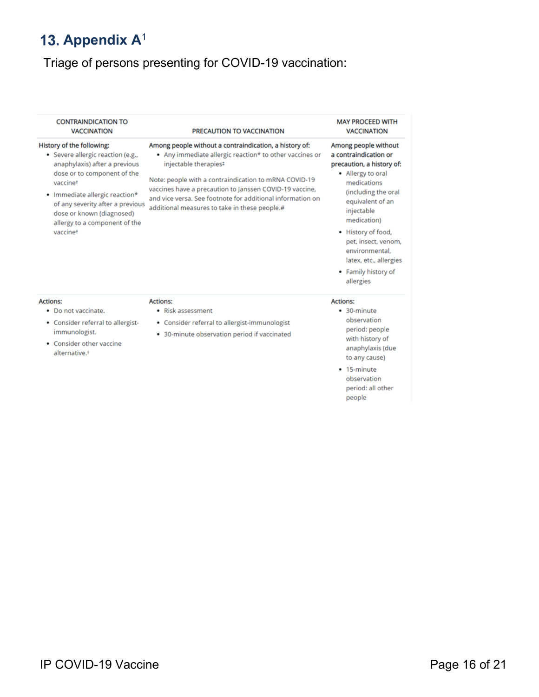## <span id="page-15-0"></span>13. Appendix A<sup>1</sup>

## Triage of persons presenting for COVID-19 vaccination:

| <b>CONTRAINDICATION TO</b><br><b>VACCINATION</b>                                                                                                                                                                                                                                           | PRECAUTION TO VACCINATION                                                                                                                                                                                                                                                                                                                                                     | <b>MAY PROCEED WITH</b><br><b>VACCINATION</b>                                                                                                                                                                                                                                                                       |
|--------------------------------------------------------------------------------------------------------------------------------------------------------------------------------------------------------------------------------------------------------------------------------------------|-------------------------------------------------------------------------------------------------------------------------------------------------------------------------------------------------------------------------------------------------------------------------------------------------------------------------------------------------------------------------------|---------------------------------------------------------------------------------------------------------------------------------------------------------------------------------------------------------------------------------------------------------------------------------------------------------------------|
| History of the following:<br>• Severe allergic reaction (e.g.,<br>anaphylaxis) after a previous<br>dose or to component of the<br>vaccinet<br>• Immediate allergic reaction*<br>of any severity after a previous<br>dose or known (diagnosed)<br>allergy to a component of the<br>vaccinet | Among people without a contraindication, a history of:<br>• Any immediate allergic reaction* to other vaccines or<br>injectable therapies#<br>Note: people with a contraindication to mRNA COVID-19<br>vaccines have a precaution to Janssen COVID-19 vaccine,<br>and vice versa. See footnote for additional information on<br>additional measures to take in these people.# | Among people without<br>a contraindication or<br>precaution, a history of:<br>• Allergy to oral<br>medications<br>(including the oral<br>equivalent of an<br>injectable<br>medication)<br>• History of food,<br>pet, insect, venom,<br>environmental.<br>latex, etc., allergies<br>• Family history of<br>allergies |
| <b>Actions:</b><br>• Do not vaccinate.<br>• Consider referral to allergist-<br>immunologist.<br>• Consider other vaccine<br>alternative. <sup>+</sup>                                                                                                                                      | <b>Actions:</b><br>• Risk assessment<br>• Consider referral to allergist-immunologist<br>• 30-minute observation period if vaccinated                                                                                                                                                                                                                                         | <b>Actions:</b><br>• 30-minute<br>observation<br>period: people<br>with history of<br>anaphylaxis (due<br>to any cause)<br>• 15-minute<br>observation<br>period: all other<br>people                                                                                                                                |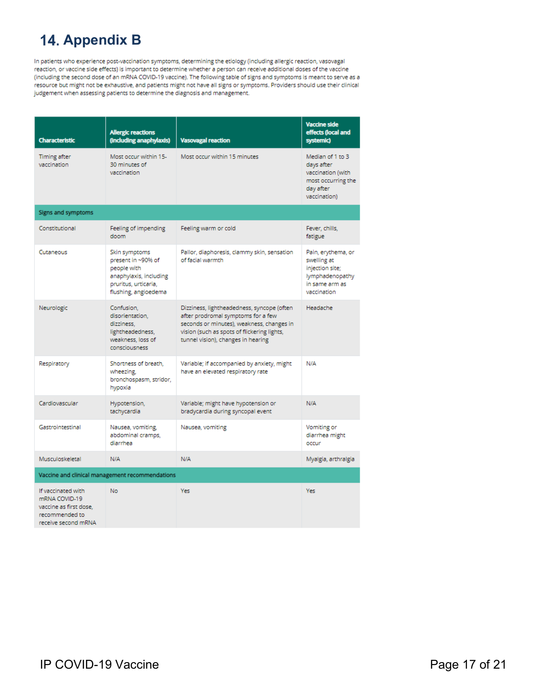## <span id="page-16-0"></span>**14. Appendix B**

In patients who experience post-vaccination symptoms, determining the etiology (including allergic reaction, vasovagal reaction, or vaccine side effects) is important to determine whether a person can receive additional doses of the vaccine (including the second dose of an mRNA COVID-19 vaccine). The following table of signs and symptoms is meant to serve as a resource but might not be exhaustive, and patients might not have all signs or symptoms. Providers should use their clinical judgement when assessing patients to determine the diagnosis and management.

| <b>Characteristic</b>                                                                                  | <b>Allergic reactions</b><br>(including anaphylaxis)                                                                         | <b>Vasovagal reaction</b>                                                                                                                                                                                          | <b>Vaccine side</b><br>effects (local and<br>systemic)                                                   |  |
|--------------------------------------------------------------------------------------------------------|------------------------------------------------------------------------------------------------------------------------------|--------------------------------------------------------------------------------------------------------------------------------------------------------------------------------------------------------------------|----------------------------------------------------------------------------------------------------------|--|
| Timing after<br>vaccination                                                                            | Most occur within 15-<br>30 minutes of<br>vaccination                                                                        | Most occur within 15 minutes                                                                                                                                                                                       | Median of 1 to 3<br>days after<br>vaccination (with<br>most occurring the<br>day after<br>vaccination)   |  |
| Signs and symptoms                                                                                     |                                                                                                                              |                                                                                                                                                                                                                    |                                                                                                          |  |
| Constitutional                                                                                         | Feeling of impending<br>doom                                                                                                 | Feeling warm or cold                                                                                                                                                                                               | Fever, chills,<br>fatigue                                                                                |  |
| Cutaneous                                                                                              | Skin symptoms<br>present in ~90% of<br>people with<br>anaphylaxis, including<br>pruritus, urticaria,<br>flushing, angioedema | Pallor, diaphoresis, clammy skin, sensation<br>of facial warmth                                                                                                                                                    | Pain, erythema, or<br>swelling at<br>injection site;<br>lymphadenopathy<br>in same arm as<br>vaccination |  |
| Neurologic                                                                                             | Confusion,<br>disorientation.<br>dizziness.<br>lightheadedness,<br>weakness, loss of<br>consciousness                        | Dizziness, lightheadedness, syncope (often<br>after prodromal symptoms for a few<br>seconds or minutes), weakness, changes in<br>vision (such as spots of flickering lights,<br>tunnel vision), changes in hearing | Headache                                                                                                 |  |
| Respiratory                                                                                            | Shortness of breath,<br>wheezing,<br>bronchospasm, stridor,<br>hypoxia                                                       | Variable; if accompanied by anxiety, might<br>have an elevated respiratory rate                                                                                                                                    | N/A                                                                                                      |  |
| Cardiovascular                                                                                         | Hypotension,<br>tachycardia                                                                                                  | Variable; might have hypotension or<br>bradycardia during syncopal event                                                                                                                                           | N/A                                                                                                      |  |
| Gastrointestinal                                                                                       | Nausea, vomiting,<br>abdominal cramps,<br>diarrhea                                                                           | Nausea, vomiting                                                                                                                                                                                                   | Vomiting or<br>diarrhea might<br>occur                                                                   |  |
| Musculoskeletal                                                                                        | N/A                                                                                                                          | N/A                                                                                                                                                                                                                | Myalgia, arthralgia                                                                                      |  |
| Vaccine and clinical management recommendations                                                        |                                                                                                                              |                                                                                                                                                                                                                    |                                                                                                          |  |
| If vaccinated with<br>mRNA COVID-19<br>vaccine as first dose.<br>recommended to<br>receive second mRNA | No                                                                                                                           | Yes                                                                                                                                                                                                                | <b>Yes</b>                                                                                               |  |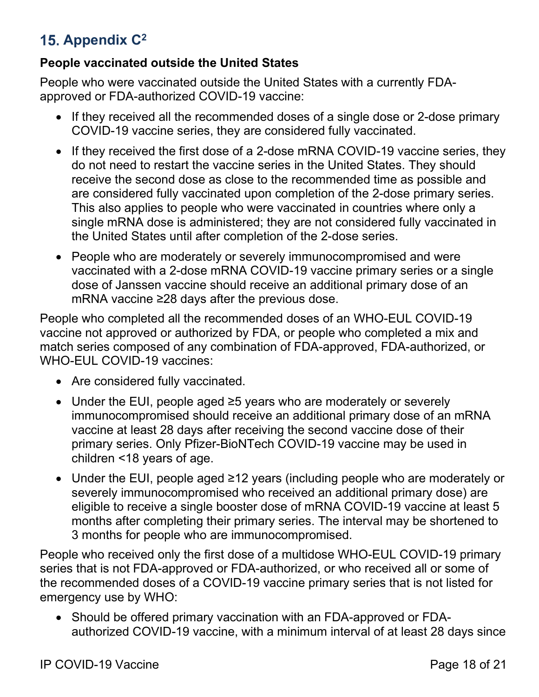## <span id="page-17-0"></span>**Appendix C2**

#### **People vaccinated outside the United States**

People who were vaccinated outside the United States with a currently FDAapproved or FDA-authorized COVID-19 vaccine:

- If they received all the recommended doses of a single dose or 2-dose primary COVID-19 vaccine series, they are considered fully vaccinated.
- If they received the first dose of a 2-dose mRNA COVID-19 vaccine series, they do not need to restart the vaccine series in the United States. They should receive the second dose as close to the recommended time as possible and are considered fully vaccinated upon completion of the 2-dose primary series. This also applies to people who were vaccinated in countries where only a single mRNA dose is administered; they are not considered fully vaccinated in the United States until after completion of the 2-dose series.
- People who are moderately or severely immunocompromised and were vaccinated with a 2-dose mRNA COVID-19 vaccine primary series or a single dose of Janssen vaccine should receive an additional primary dose of an mRNA vaccine ≥28 days after the previous dose.

People who completed all the recommended doses of an WHO-EUL COVID-19 vaccine not approved or authorized by FDA, or people who completed a mix and match series composed of any combination of FDA-approved, FDA-authorized, or WHO-EUL COVID-19 vaccines:

- Are considered fully vaccinated.
- Under the EUI, people aged ≥5 years who are moderately or severely immunocompromised should receive an additional primary dose of an mRNA vaccine at least 28 days after receiving the second vaccine dose of their primary series. Only Pfizer-BioNTech COVID-19 vaccine may be used in children <18 years of age.
- Under the EUI, people aged ≥12 years (including people who are moderately or severely immunocompromised who received an additional primary dose) are eligible to receive a single booster dose of mRNA COVID-19 vaccine at least 5 months after completing their primary series. The interval may be shortened to 3 months for people who are immunocompromised.

People who received only the first dose of a multidose WHO-EUL COVID-19 primary series that is not FDA-approved or FDA-authorized, or who received all or some of the recommended doses of a COVID-19 vaccine primary series that is not listed for emergency use by WHO:

• Should be offered primary vaccination with an FDA-approved or FDAauthorized COVID-19 vaccine, with a minimum interval of at least 28 days since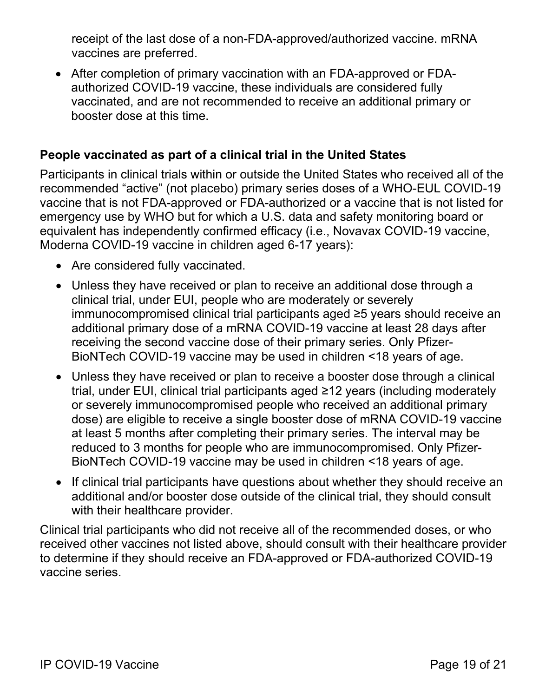receipt of the last dose of a non-FDA-approved/authorized vaccine. mRNA vaccines are preferred.

• After completion of primary vaccination with an FDA-approved or FDAauthorized COVID-19 vaccine, these individuals are considered fully vaccinated, and are not recommended to receive an additional primary or booster dose at this time.

#### **People vaccinated as part of a clinical trial in the United States**

Participants in clinical trials within or outside the United States who received all of the recommended "active" (not placebo) primary series doses of a WHO-EUL COVID-19 vaccine that is not FDA-approved or FDA-authorized or a vaccine that is not listed for emergency use by WHO but for which a U.S. data and safety monitoring board or equivalent has independently confirmed efficacy (i.e., Novavax COVID-19 vaccine, Moderna COVID-19 vaccine in children aged 6-17 years):

- Are considered fully vaccinated.
- Unless they have received or plan to receive an additional dose through a clinical trial, under EUI, people who are moderately or severely immunocompromised clinical trial participants aged ≥5 years should receive an additional primary dose of a mRNA COVID-19 vaccine at least 28 days after receiving the second vaccine dose of their primary series. Only Pfizer-BioNTech COVID-19 vaccine may be used in children <18 years of age.
- Unless they have received or plan to receive a booster dose through a clinical trial, under EUI, clinical trial participants aged ≥12 years (including moderately or severely immunocompromised people who received an additional primary dose) are eligible to receive a single booster dose of mRNA COVID-19 vaccine at least 5 months after completing their primary series. The interval may be reduced to 3 months for people who are immunocompromised. Only Pfizer-BioNTech COVID-19 vaccine may be used in children <18 years of age.
- If clinical trial participants have questions about whether they should receive an additional and/or booster dose outside of the clinical trial, they should consult with their healthcare provider.

Clinical trial participants who did not receive all of the recommended doses, or who received other vaccines not listed above, should consult with their healthcare provider to determine if they should receive an FDA-approved or FDA-authorized COVID-19 vaccine series.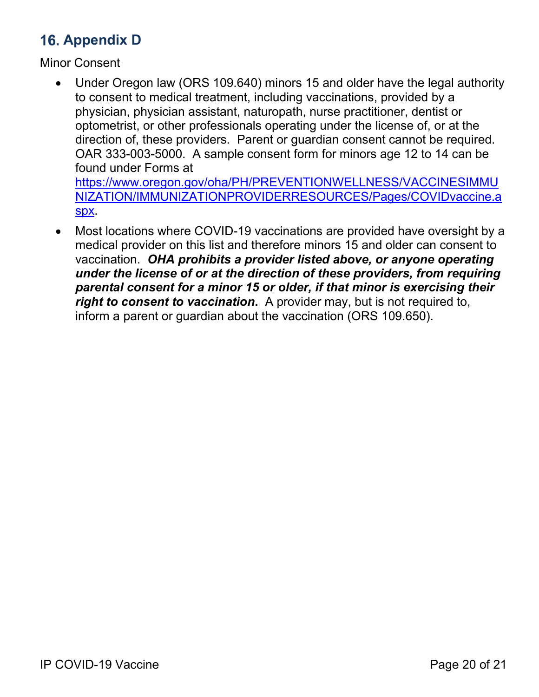## <span id="page-19-0"></span>**16. Appendix D**

Minor Consent

- Under Oregon law (ORS 109.640) minors 15 and older have the legal authority to consent to medical treatment, including vaccinations, provided by a physician, physician assistant, naturopath, nurse practitioner, dentist or optometrist, or other professionals operating under the license of, or at the direction of, these providers. Parent or guardian consent cannot be required. OAR 333-003-5000. A sample consent form for minors age 12 to 14 can be found under Forms at [https://www.oregon.gov/oha/PH/PREVENTIONWELLNESS/VACCINESIMMU](https://www.oregon.gov/oha/PH/PREVENTIONWELLNESS/VACCINESIMMUNIZATION/IMMUNIZATIONPROVIDERRESOURCES/Pages/COVIDvaccine.aspx) [NIZATION/IMMUNIZATIONPROVIDERRESOURCES/Pages/COVIDvaccine.a](https://www.oregon.gov/oha/PH/PREVENTIONWELLNESS/VACCINESIMMUNIZATION/IMMUNIZATIONPROVIDERRESOURCES/Pages/COVIDvaccine.aspx)
	- [spx.](https://www.oregon.gov/oha/PH/PREVENTIONWELLNESS/VACCINESIMMUNIZATION/IMMUNIZATIONPROVIDERRESOURCES/Pages/COVIDvaccine.aspx)
- Most locations where COVID-19 vaccinations are provided have oversight by a medical provider on this list and therefore minors 15 and older can consent to vaccination. *OHA prohibits a provider listed above, or anyone operating under the license of or at the direction of these providers, from requiring parental consent for a minor 15 or older, if that minor is exercising their right to consent to vaccination***.** A provider may, but is not required to, inform a parent or guardian about the vaccination (ORS 109.650).